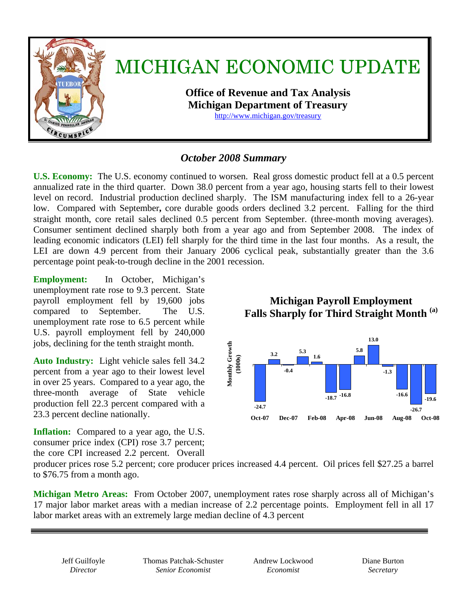

### *October 2008 Summary*

**U.S. Economy:** The U.S. economy continued to worsen. Real gross domestic product fell at a 0.5 percent annualized rate in the third quarter. Down 38.0 percent from a year ago, housing starts fell to their lowest level on record. Industrial production declined sharply. The ISM manufacturing index fell to a 26-year low.Compared with September**,** core durable goods orders declined 3.2 percent.Falling for the third straight month, core retail sales declined 0.5 percent from September. (three-month moving averages). Consumer sentiment declined sharply both from a year ago and from September 2008. The index of leading economic indicators (LEI) fell sharply for the third time in the last four months. As a result, the LEI are down 4.9 percent from their January 2006 cyclical peak, substantially greater than the 3.6 percentage point peak-to-trough decline in the 2001 recession.

**Employment:** In October, Michigan's unemployment rate rose to 9.3 percent. State payroll employment fell by 19,600 jobs compared to September. The U.S. unemployment rate rose to 6.5 percent while U.S. payroll employment fell by 240,000 jobs, declining for the tenth straight month.

**Auto Industry:** Light vehicle sales fell 34.2 percent from a year ago to their lowest level in over 25 years.Compared to a year ago, the three-month average of State vehicle production fell 22.3 percent compared with a 23.3 percent decline nationally.

**Inflation:** Compared to a year ago, the U.S. consumer price index (CPI) rose 3.7 percent; the core CPI increased 2.2 percent. Overall

# **Michigan Payroll Employment Falls Sharply for Third Straight Month (a)**



producer prices rose 5.2 percent; core producer prices increased 4.4 percent. Oil prices fell \$27.25 a barrel to \$76.75 from a month ago.

**Michigan Metro Areas:** From October 2007, unemployment rates rose sharply across all of Michigan's 17 major labor market areas with a median increase of 2.2 percentage points.Employment fell in all 17 labor market areas with an extremely large median decline of 4.3 percent

Jeff Guilfoyle *Director* 

Thomas Patchak-Schuster *Senior Economist* 

Andrew Lockwood *Economist* 

Diane Burton *Secretary*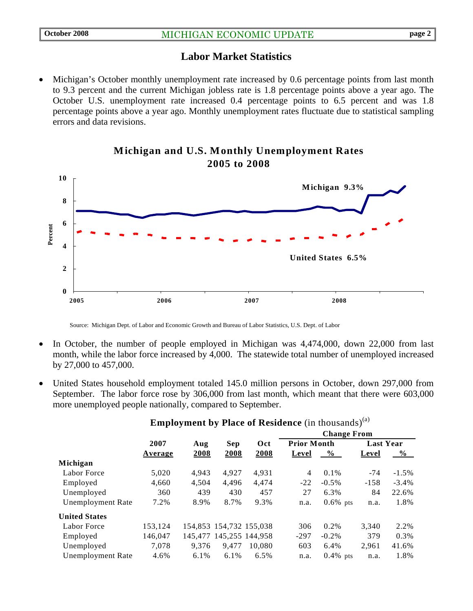#### **Labor Market Statistics**

Michigan's October monthly unemployment rate increased by 0.6 percentage points from last month to 9.3 percent and the current Michigan jobless rate is 1.8 percentage points above a year ago. The October U.S. unemployment rate increased 0.4 percentage points to 6.5 percent and was 1.8 percentage points above a year ago. Monthly unemployment rates fluctuate due to statistical sampling errors and data revisions.



#### **Michigan and U.S. Monthly Unemployment Rates 2005 to 2008**

Source: Michigan Dept. of Labor and Economic Growth and Bureau of Labor Statistics, U.S. Dept. of Labor

- In October, the number of people employed in Michigan was  $4,474,000$ , down  $22,000$  from last month, while the labor force increased by 4,000. The statewide total number of unemployed increased by 27,000 to 457,000.
- United States household employment totaled 145.0 million persons in October, down 297,000 from September. The labor force rose by 306,000 from last month, which meant that there were 603,000 more unemployed people nationally, compared to September.

|                          |         |       | Sep   | Oct                     | <b>Change From</b> |             |                  |               |
|--------------------------|---------|-------|-------|-------------------------|--------------------|-------------|------------------|---------------|
|                          | 2007    | Aug   |       |                         | <b>Prior Month</b> |             | <b>Last Year</b> |               |
|                          | Average | 2008  | 2008  | 2008                    | Level              | $\%$        | Level            | $\frac{6}{6}$ |
| Michigan                 |         |       |       |                         |                    |             |                  |               |
| Labor Force              | 5,020   | 4.943 | 4.927 | 4.931                   | 4                  | $0.1\%$     | $-74$            | $-1.5\%$      |
| Employed                 | 4,660   | 4,504 | 4,496 | 4,474                   | $-22$              | $-0.5\%$    | $-158$           | $-3.4\%$      |
| Unemployed               | 360     | 439   | 430   | 457                     | 27                 | 6.3%        | 84               | 22.6%         |
| <b>Unemployment Rate</b> | 7.2%    | 8.9%  | 8.7%  | 9.3%                    | n.a.               | $0.6\%$ pts | n.a.             | 1.8%          |
| <b>United States</b>     |         |       |       |                         |                    |             |                  |               |
| Labor Force              | 153,124 |       |       | 154,853 154,732 155,038 | 306                | 0.2%        | 3.340            | 2.2%          |
| Employed                 | 146,047 |       |       | 145,477 145,255 144,958 | $-297$             | $-0.2\%$    | 379              | $0.3\%$       |
| Unemployed               | 7.078   | 9.376 | 9.477 | 10.080                  | 603                | 6.4%        | 2,961            | 41.6%         |
| Unemployment Rate        | 4.6%    | 6.1%  | 6.1%  | 6.5%                    | n.a.               | $0.4\%$ pts | n.a.             | 1.8%          |

#### **Employment by Place of Residence** (in thousands)<sup>(a)</sup>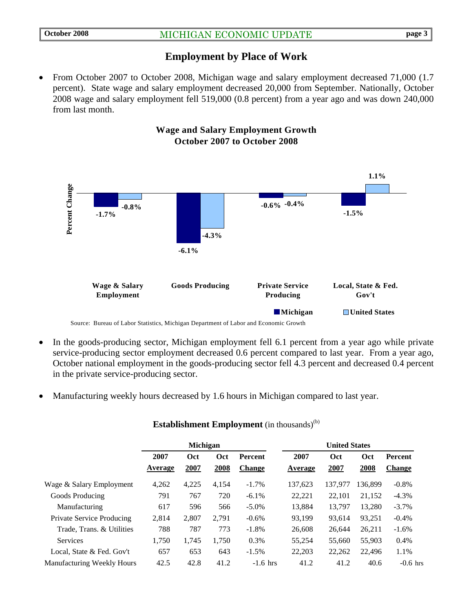#### **Employment by Place of Work**

• From October 2007 to October 2008, Michigan wage and salary employment decreased 71,000 (1.7) percent).State wage and salary employment decreased 20,000 from September. Nationally, October 2008 wage and salary employment fell 519,000 (0.8 percent) from a year ago and was down 240,000 from last month.



- In the goods-producing sector, Michigan employment fell 6.1 percent from a year ago while private service-producing sector employment decreased 0.6 percent compared to last year. From a year ago, October national employment in the goods-producing sector fell 4.3 percent and decreased 0.4 percent in the private service-producing sector.
- Manufacturing weekly hours decreased by 1.6 hours in Michigan compared to last year.

|                                   | <b>Michigan</b> |                    |             |                                 | <b>United States</b> |             |             |                          |
|-----------------------------------|-----------------|--------------------|-------------|---------------------------------|----------------------|-------------|-------------|--------------------------|
|                                   | 2007<br>Average | <b>Oct</b><br>2007 | Oct<br>2008 | <b>Percent</b><br><b>Change</b> | 2007<br>Average      | Oct<br>2007 | Oct<br>2008 | Percent<br><b>Change</b> |
| Wage & Salary Employment          | 4,262           | 4,225              | 4,154       | $-1.7\%$                        | 137.623              | 137.977     | 136.899     | $-0.8%$                  |
| Goods Producing                   | 791             | 767                | 720         | $-6.1\%$                        | 22,221               | 22,101      | 21,152      | $-4.3%$                  |
| Manufacturing                     | 617             | 596                | 566         | $-5.0\%$                        | 13.884               | 13.797      | 13,280      | $-3.7\%$                 |
| Private Service Producing         | 2,814           | 2,807              | 2.791       | $-0.6%$                         | 93.199               | 93,614      | 93,251      | $-0.4%$                  |
| Trade, Trans. & Utilities         | 788             | 787                | 773         | $-1.8%$                         | 26,608               | 26.644      | 26,211      | $-1.6\%$                 |
| <b>Services</b>                   | 1,750           | 1,745              | 1,750       | 0.3%                            | 55,254               | 55,660      | 55,903      | 0.4%                     |
| Local, State & Fed. Gov't         | 657             | 653                | 643         | $-1.5\%$                        | 22,203               | 22,262      | 22,496      | 1.1%                     |
| <b>Manufacturing Weekly Hours</b> | 42.5            | 42.8               | 41.2        | $-1.6$ hrs                      | 41.2                 | 41.2        | 40.6        | $-0.6$ hrs               |

#### **Establishment Employment** (in thousands)<sup>(b)</sup>

#### **Wage and Salary Employment Growth October 2007 to October 2008**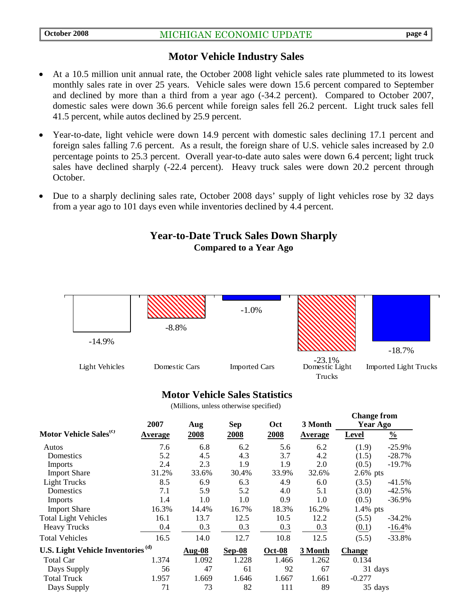#### **Motor Vehicle Industry Sales**

- At a 10.5 million unit annual rate, the October 2008 light vehicle sales rate plummeted to its lowest monthly sales rate in over 25 years. Vehicle sales were down 15.6 percent compared to September and declined by more than a third from a year ago (-34.2 percent). Compared to October 2007, domestic sales were down 36.6 percent while foreign sales fell 26.2 percent. Light truck sales fell 41.5 percent, while autos declined by 25.9 percent.
- Year-to-date, light vehicle were down 14.9 percent with domestic sales declining 17.1 percent and foreign sales falling 7.6 percent. As a result, the foreign share of U.S. vehicle sales increased by 2.0 percentage points to 25.3 percent. Overall year-to-date auto sales were down 6.4 percent; light truck sales have declined sharply (-22.4 percent). Heavy truck sales were down 20.2 percent through October.
- Due to a sharply declining sales rate, October 2008 days' supply of light vehicles rose by 32 days from a year ago to 101 days even while inventories declined by 4.4 percent.

#### **Year-to-Date Truck Sales Down Sharply Compared to a Year Ago**



#### **Motor Vehicle Sales Statistics**

(Millions, unless otherwise specified)

|                                               | 2007    | Aug                        | <b>Sep</b> | Oct           | 3 Month        | Спанде п ош<br><b>Year Ago</b> |               |
|-----------------------------------------------|---------|----------------------------|------------|---------------|----------------|--------------------------------|---------------|
| Motor Vehicle Sales <sup>(c)</sup>            | Average | 2008                       | 2008       | 2008          | <b>Average</b> | Level                          | $\frac{0}{0}$ |
| Autos                                         | 7.6     | 6.8                        | 6.2        | 5.6           | 6.2            | (1.9)                          | $-25.9%$      |
| Domestics                                     | 5.2     | 4.5                        | 4.3        | 3.7           | 4.2            | (1.5)                          | $-28.7%$      |
| Imports                                       | 2.4     | 2.3                        | 1.9        | 1.9           | 2.0            | (0.5)                          | $-19.7%$      |
| <b>Import Share</b>                           | 31.2%   | 33.6%                      | 30.4%      | 33.9%         | 32.6%          | $2.6\%$ pts                    |               |
| <b>Light Trucks</b>                           | 8.5     | 6.9                        | 6.3        | 4.9           | 6.0            | (3.5)                          | $-41.5%$      |
| Domestics                                     | 7.1     | 5.9                        | 5.2        | 4.0           | 5.1            | (3.0)                          | $-42.5%$      |
| <b>Imports</b>                                | 1.4     | 1.0                        | 1.0        | 0.9           | 1.0            | (0.5)                          | $-36.9%$      |
| <b>Import Share</b>                           | 16.3%   | 14.4%                      | 16.7%      | 18.3%         | 16.2%          | $1.4\%$ pts                    |               |
| <b>Total Light Vehicles</b>                   | 16.1    | 13.7                       | 12.5       | 10.5          | 12.2           | (5.5)                          | $-34.2%$      |
| <b>Heavy Trucks</b>                           | 0.4     | 0.3                        | 0.3        | 0.3           | 0.3            | (0.1)                          | $-16.4%$      |
| <b>Total Vehicles</b>                         | 16.5    | 14.0                       | 12.7       | 10.8          | 12.5           | (5.5)                          | $-33.8%$      |
| U.S. Light Vehicle Inventories <sup>(d)</sup> |         | $\overline{\text{Aug-}08}$ | $Sep-08$   | <b>Oct-08</b> | 3 Month        | <b>Change</b>                  |               |
| <b>Total Car</b>                              | 1.374   | 1.092                      | 1.228      | 1.466         | 1.262          | 0.134                          |               |
| Days Supply                                   | 56      | 47                         | 61         | 92            | 67             | 31 days                        |               |
| <b>Total Truck</b>                            | 1.957   | 1.669                      | 1.646      | 1.667         | 1.661          | $-0.277$                       |               |
| Days Supply                                   | 71      | 73                         | 82         | 111           | 89             | 35 days                        |               |

**Change from**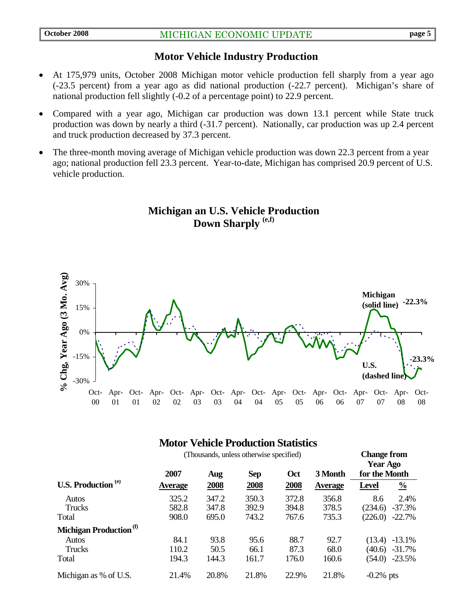#### **Motor Vehicle Industry Production**

- At 175,979 units, October 2008 Michigan motor vehicle production fell sharply from a year ago (-23.5 percent) from a year ago as did national production (-22.7 percent). Michigan's share of national production fell slightly (-0.2 of a percentage point) to 22.9 percent.
- Compared with a year ago, Michigan car production was down 13.1 percent while State truck production was down by nearly a third (-31.7 percent). Nationally, car production was up 2.4 percent and truck production decreased by 37.3 percent.
- The three-month moving average of Michigan vehicle production was down 22.3 percent from a year ago; national production fell 23.3 percent. Year-to-date, Michigan has comprised 20.9 percent of U.S. vehicle production.





#### **Motor Vehicle Production Statistics**

| (Thousands, unless otherwise specified) |                |       |            |       |                | <b>Change from</b><br><b>Year Ago</b> |               |
|-----------------------------------------|----------------|-------|------------|-------|----------------|---------------------------------------|---------------|
|                                         | 2007           | Aug   | <b>Sep</b> | Oct   | 3 Month        | for the Month                         |               |
| U.S. Production <sup>(e)</sup>          | <b>Average</b> | 2008  | 2008       | 2008  | <b>Average</b> | <b>Level</b>                          | $\frac{0}{0}$ |
| Autos                                   | 325.2          | 347.2 | 350.3      | 372.8 | 356.8          | 8.6                                   | 2.4%          |
| Trucks                                  | 582.8          | 347.8 | 392.9      | 394.8 | 378.5          | (234.6)                               | $-37.3%$      |
| Total                                   | 908.0          | 695.0 | 743.2      | 767.6 | 735.3          | (226.0)                               | $-22.7%$      |
| Michigan Production <sup>(f)</sup>      |                |       |            |       |                |                                       |               |
| Autos                                   | 84.1           | 93.8  | 95.6       | 88.7  | 92.7           | (13.4)                                | $-13.1%$      |
| Trucks                                  | 110.2          | 50.5  | 66.1       | 87.3  | 68.0           | (40.6)                                | $-31.7%$      |
| Total                                   | 194.3          | 144.3 | 161.7      | 176.0 | 160.6          | (54.0)                                | $-23.5%$      |
| Michigan as % of U.S.                   | 21.4%          | 20.8% | 21.8%      | 22.9% | 21.8%          | $-0.2\%$ pts                          |               |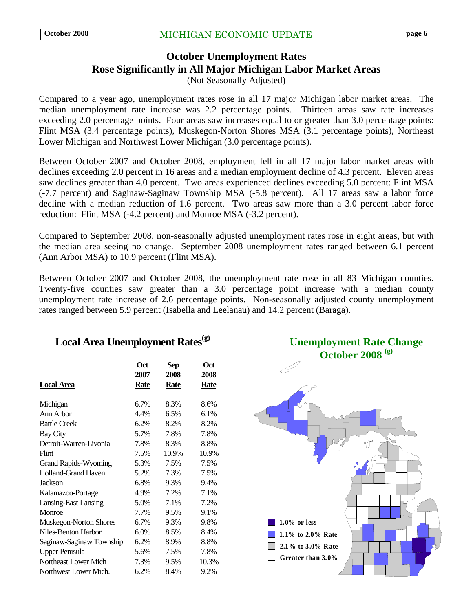#### **October Unemployment Rates Rose Significantly in All Major Michigan Labor Market Areas**  (Not Seasonally Adjusted)

Compared to a year ago, unemployment rates rose in all 17 major Michigan labor market areas. The median unemployment rate increase was 2.2 percentage points. Thirteen areas saw rate increases exceeding 2.0 percentage points. Four areas saw increases equal to or greater than 3.0 percentage points: Flint MSA (3.4 percentage points), Muskegon-Norton Shores MSA (3.1 percentage points), Northeast Lower Michigan and Northwest Lower Michigan (3.0 percentage points).

Between October 2007 and October 2008, employment fell in all 17 major labor market areas with declines exceeding 2.0 percent in 16 areas and a median employment decline of 4.3 percent. Eleven areas saw declines greater than 4.0 percent. Two areas experienced declines exceeding 5.0 percent: Flint MSA (-7.7 percent) and Saginaw-Saginaw Township MSA (-5.8 percent). All 17 areas saw a labor force decline with a median reduction of 1.6 percent. Two areas saw more than a 3.0 percent labor force reduction: Flint MSA (-4.2 percent) and Monroe MSA (-3.2 percent).

Compared to September 2008, non-seasonally adjusted unemployment rates rose in eight areas, but with the median area seeing no change. September 2008 unemployment rates ranged between 6.1 percent (Ann Arbor MSA) to 10.9 percent (Flint MSA).

Between October 2007 and October 2008, the unemployment rate rose in all 83 Michigan counties. Twenty-five counties saw greater than a 3.0 percentage point increase with a median county unemployment rate increase of 2.6 percentage points. Non-seasonally adjusted county unemployment rates ranged between 5.9 percent (Isabella and Leelanau) and 14.2 percent (Baraga).

# Local Area Unemployment Rates<sup>(g)</sup>

|                             | Oct         | <b>Sep</b> | Oct   |
|-----------------------------|-------------|------------|-------|
|                             | 2007        | 2008       | 2008  |
| Local Area                  | <b>Rate</b> | Rate       | Rate  |
|                             |             |            |       |
| Michigan                    | 6.7%        | 8.3%       | 8.6%  |
| Ann Arbor                   | 4.4%        | 6.5%       | 6.1%  |
| <b>Battle Creek</b>         | 6.2%        | 8.2%       | 8.2%  |
| <b>Bay City</b>             | 5.7%        | 7.8%       | 7.8%  |
| Detroit-Warren-Livonia      | 7.8%        | 8.3%       | 8.8%  |
| Flint                       | 7.5%        | 10.9%      | 10.9% |
| <b>Grand Rapids-Wyoming</b> | 5.3%        | 7.5%       | 7.5%  |
| <b>Holland-Grand Haven</b>  | 5.2%        | 7.3%       | 7.5%  |
| Jackson                     | 6.8%        | 9.3%       | 9.4%  |
| Kalamazoo-Portage           | 4.9%        | 7.2%       | 7.1%  |
| Lansing-East Lansing        | 5.0%        | 7.1%       | 7.2%  |
| Monroe                      | 7.7%        | 9.5%       | 9.1%  |
| Muskegon-Norton Shores      | 6.7%        | 9.3%       | 9.8%  |
| Niles-Benton Harbor         | 6.0%        | 8.5%       | 8.4%  |
| Saginaw-Saginaw Township    | 6.2%        | 8.9%       | 8.8%  |
| <b>Upper Penisula</b>       | 5.6%        | 7.5%       | 7.8%  |
| Northeast Lower Mich        | 7.3%        | 9.5%       | 10.3% |
| Northwest Lower Mich.       | 6.2%        | 8.4%       | 9.2%  |



**Unemployment Rate Change**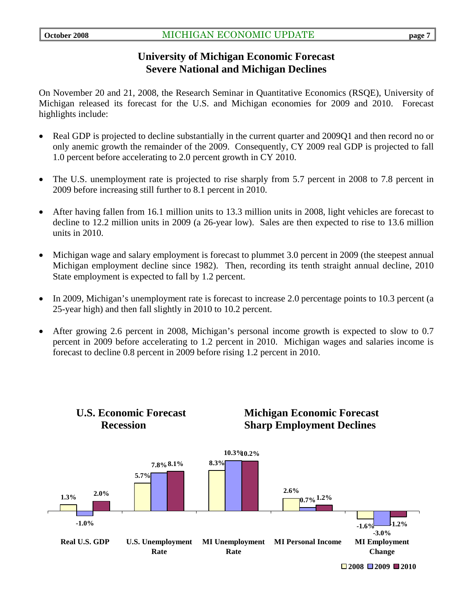#### **University of Michigan Economic Forecast Severe National and Michigan Declines**

On November 20 and 21, 2008, the Research Seminar in Quantitative Economics (RSQE), University of Michigan released its forecast for the U.S. and Michigan economies for 2009 and 2010. Forecast highlights include:

- Real GDP is projected to decline substantially in the current quarter and 2009Q1 and then record no or only anemic growth the remainder of the 2009. Consequently, CY 2009 real GDP is projected to fall 1.0 percent before accelerating to 2.0 percent growth in CY 2010.
- The U.S. unemployment rate is projected to rise sharply from 5.7 percent in 2008 to 7.8 percent in 2009 before increasing still further to 8.1 percent in 2010.
- After having fallen from 16.1 million units to 13.3 million units in 2008, light vehicles are forecast to decline to 12.2 million units in 2009 (a 26-year low). Sales are then expected to rise to 13.6 million units in 2010.
- Michigan wage and salary employment is forecast to plummet 3.0 percent in 2009 (the steepest annual Michigan employment decline since 1982). Then, recording its tenth straight annual decline, 2010 State employment is expected to fall by 1.2 percent.
- In 2009, Michigan's unemployment rate is forecast to increase 2.0 percentage points to 10.3 percent (a 25-year high) and then fall slightly in 2010 to 10.2 percent.
- After growing 2.6 percent in 2008, Michigan's personal income growth is expected to slow to 0.7 percent in 2009 before accelerating to 1.2 percent in 2010. Michigan wages and salaries income is forecast to decline 0.8 percent in 2009 before rising 1.2 percent in 2010.



# **U.S. Economic Forecast Michigan Economic Forecast**



**2008 2009 2010**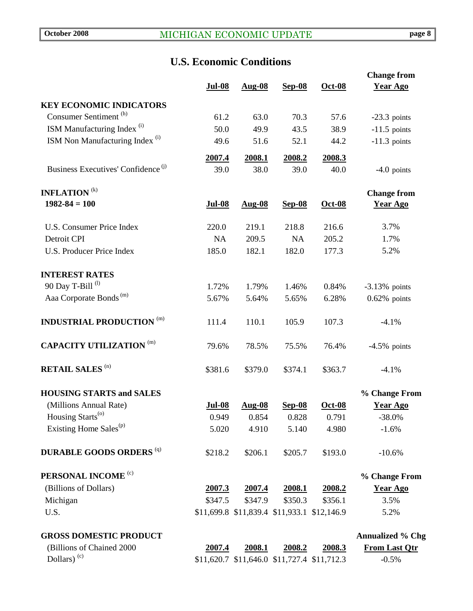# **U.S. Economic Conditions**

|                                                |                |                |                                             |                | <b>Change from</b>      |
|------------------------------------------------|----------------|----------------|---------------------------------------------|----------------|-------------------------|
|                                                | <b>Jul-08</b>  | <b>Aug-08</b>  | Sep-08                                      | $Oct-08$       | <b>Year Ago</b>         |
| <b>KEY ECONOMIC INDICATORS</b>                 |                |                |                                             |                |                         |
| Consumer Sentiment <sup>(h)</sup>              | 61.2           | 63.0           | 70.3                                        | 57.6           | $-23.3$ points          |
| ISM Manufacturing Index <sup>(i)</sup>         | 50.0           | 49.9           | 43.5                                        | 38.9           | $-11.5$ points          |
| ISM Non Manufacturing Index <sup>(i)</sup>     | 49.6           | 51.6           | 52.1                                        | 44.2           | $-11.3$ points          |
|                                                |                |                |                                             |                |                         |
| Business Executives' Confidence <sup>(j)</sup> | 2007.4<br>39.0 | 2008.1<br>38.0 | 2008.2<br>39.0                              | 2008.3<br>40.0 | $-4.0$ points           |
|                                                |                |                |                                             |                |                         |
| <b>INFLATION</b> <sup>(k)</sup>                |                |                |                                             |                | <b>Change from</b>      |
| $1982 - 84 = 100$                              | <b>Jul-08</b>  | <b>Aug-08</b>  | <b>Sep-08</b>                               | <b>Oct-08</b>  | <b>Year Ago</b>         |
|                                                |                |                |                                             |                |                         |
| U.S. Consumer Price Index                      | 220.0          | 219.1          | 218.8                                       | 216.6          | 3.7%                    |
| Detroit CPI                                    | <b>NA</b>      | 209.5          | <b>NA</b>                                   | 205.2          | 1.7%                    |
| <b>U.S. Producer Price Index</b>               | 185.0          | 182.1          | 182.0                                       | 177.3          | 5.2%                    |
|                                                |                |                |                                             |                |                         |
| <b>INTEREST RATES</b>                          |                |                |                                             |                |                         |
| 90 Day T-Bill <sup>(l)</sup>                   | 1.72%          | 1.79%          | 1.46%                                       | 0.84%          | $-3.13%$ points         |
| Aaa Corporate Bonds <sup>(m)</sup>             | 5.67%          | 5.64%          | 5.65%                                       | 6.28%          | $0.62\%$ points         |
| <b>INDUSTRIAL PRODUCTION (m)</b>               | 111.4          | 110.1          | 105.9                                       | 107.3          | $-4.1%$                 |
| <b>CAPACITY UTILIZATION (m)</b>                | 79.6%          | 78.5%          | 75.5%                                       | 76.4%          | $-4.5\%$ points         |
|                                                |                |                |                                             |                |                         |
| <b>RETAIL SALES (n)</b>                        | \$381.6        | \$379.0        | \$374.1                                     | \$363.7        | $-4.1%$                 |
| <b>HOUSING STARTS and SALES</b>                |                |                |                                             |                | % Change From           |
| (Millions Annual Rate)                         | <b>Jul-08</b>  | Aug-08         | $Sep-08$                                    | <b>Oct-08</b>  | <b>Year Ago</b>         |
| Housing Starts <sup>(o)</sup>                  | 0.949          | 0.854          | 0.828                                       | 0.791          | $-38.0\%$               |
| Existing Home Sales <sup>(p)</sup>             | 5.020          | 4.910          | 5.140                                       | 4.980          | $-1.6%$                 |
| <b>DURABLE GOODS ORDERS (q)</b>                | \$218.2        | \$206.1        | \$205.7                                     | \$193.0        | $-10.6%$                |
|                                                |                |                |                                             |                |                         |
| PERSONAL INCOME <sup>(c)</sup>                 |                |                |                                             |                | % Change From           |
| (Billions of Dollars)                          | 2007.3         | 2007.4         | 2008.1                                      | 2008.2         | <b>Year Ago</b>         |
| Michigan                                       | \$347.5        | \$347.9        | \$350.3                                     | \$356.1        | 3.5%                    |
| U.S.                                           |                |                | \$11,699.8 \$11,839.4 \$11,933.1 \$12,146.9 |                | 5.2%                    |
| <b>GROSS DOMESTIC PRODUCT</b>                  |                |                |                                             |                | <b>Annualized % Chg</b> |
| (Billions of Chained 2000                      | 2007.4         | 2008.1         | 2008.2                                      | 2008.3         | <b>From Last Qtr</b>    |
| Dollars) $(c)$                                 |                |                | \$11,620.7 \$11,646.0 \$11,727.4 \$11,712.3 |                | $-0.5%$                 |